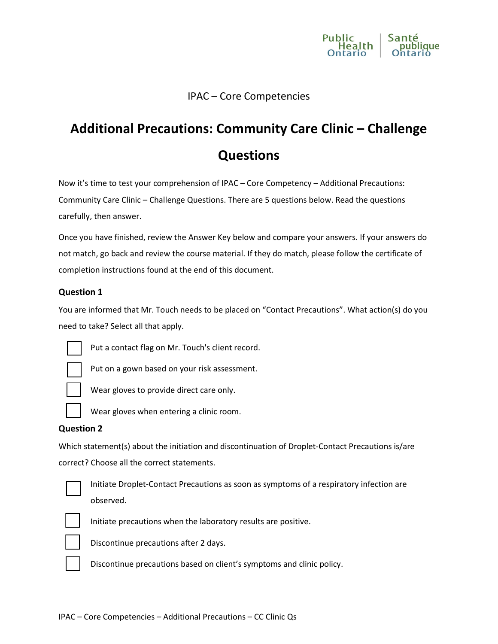

# IPAC – Core Competencies

# **Additional Precautions: Community Care Clinic – Challenge Questions**

Now it's time to test your comprehension of IPAC – Core Competency – Additional Precautions: Community Care Clinic – Challenge Questions. There are 5 questions below. Read the questions carefully, then answer.

Once you have finished, review the Answer Key below and compare your answers. If your answers do not match, go back and review the course material. If they do match, please follow the certificate of completion instructions found at the end of this document.

#### **Question 1**

You are informed that Mr. Touch needs to be placed on "Contact Precautions". What action(s) do you need to take? Select all that apply.



Put a contact flag on Mr. Touch's client record.

Put on a gown based on your risk assessment.



Wear gloves to provide direct care only.



Wear gloves when entering a clinic room.

#### **Question 2**

Which statement(s) about the initiation and discontinuation of Droplet-Contact Precautions is/are correct? Choose all the correct statements.



Initiate Droplet-Contact Precautions as soon as symptoms of a respiratory infection are observed.



Initiate precautions when the laboratory results are positive.



Discontinue precautions after 2 days.



Discontinue precautions based on client's symptoms and clinic policy.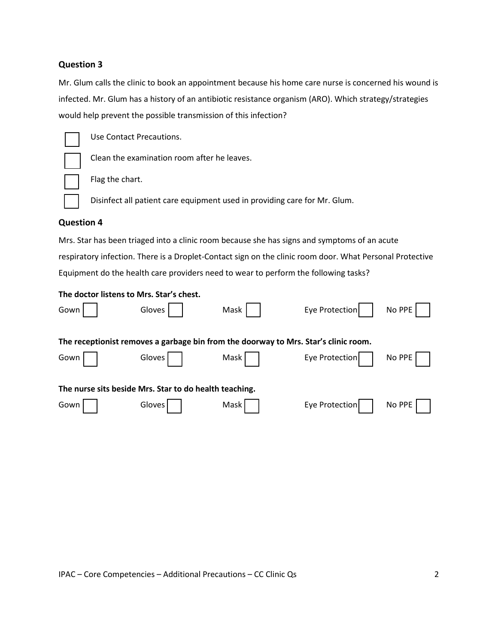### **Question 3**

Mr. Glum calls the clinic to book an appointment because his home care nurse is concerned his wound is infected. Mr. Glum has a history of an antibiotic resistance organism (ARO). Which strategy/strategies would help prevent the possible transmission of this infection?



Use Contact Precautions.

Clean the examination room after he leaves.

Flag the chart.

Disinfect all patient care equipment used in providing care for Mr. Glum.

#### **Question 4**

Mrs. Star has been triaged into a clinic room because she has signs and symptoms of an acute respiratory infection. There is a Droplet-Contact sign on the clinic room door. What Personal Protective Equipment do the health care providers need to wear to perform the following tasks?

| The doctor listens to Mrs. Star's chest.                                            |        |      |                |        |
|-------------------------------------------------------------------------------------|--------|------|----------------|--------|
| Gown                                                                                | Gloves | Mask | Eye Protection | No PPE |
| The receptionist removes a garbage bin from the doorway to Mrs. Star's clinic room. |        |      |                |        |
| Gown                                                                                | Gloves | Mask | Eye Protection | No PPE |
| The nurse sits beside Mrs. Star to do health teaching.                              |        |      |                |        |
| Gown                                                                                | Gloves | Mask | Eye Protection | No PPE |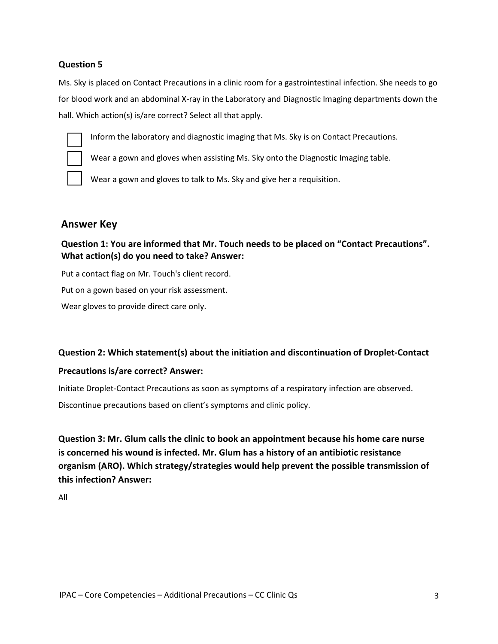## **Question 5**

Ms. Sky is placed on Contact Precautions in a clinic room for a gastrointestinal infection. She needs to go for blood work and an abdominal X-ray in the Laboratory and Diagnostic Imaging departments down the hall. Which action(s) is/are correct? Select all that apply.



Inform the laboratory and diagnostic imaging that Ms. Sky is on Contact Precautions.

Wear a gown and gloves when assisting Ms. Sky onto the Diagnostic Imaging table.

Wear a gown and gloves to talk to Ms. Sky and give her a requisition.

## **Answer Key**

**Question 1: You are informed that Mr. Touch needs to be placed on "Contact Precautions". What action(s) do you need to take? Answer:** 

Put a contact flag on Mr. Touch's client record. Put on a gown based on your risk assessment. Wear gloves to provide direct care only.

## **Question 2: Which statement(s) about the initiation and discontinuation of Droplet-Contact**

## **Precautions is/are correct? Answer:**

Initiate Droplet-Contact Precautions as soon as symptoms of a respiratory infection are observed.

Discontinue precautions based on client's symptoms and clinic policy.

**Question 3: Mr. Glum calls the clinic to book an appointment because his home care nurse is concerned his wound is infected. Mr. Glum has a history of an antibiotic resistance organism (ARO). Which strategy/strategies would help prevent the possible transmission of this infection? Answer:**

All